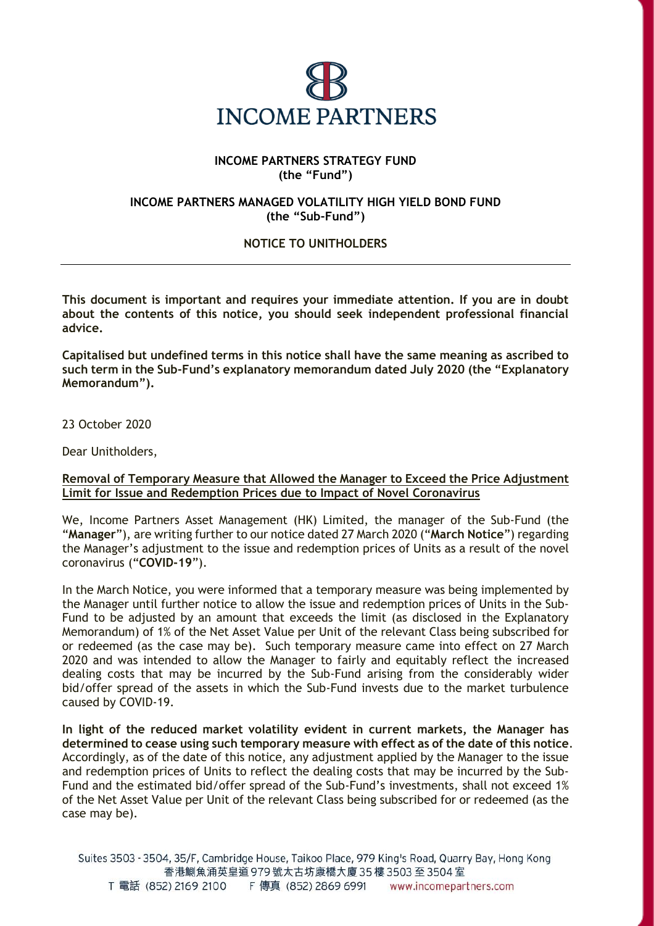

## **INCOME PARTNERS STRATEGY FUND (the "Fund")**

## **INCOME PARTNERS MANAGED VOLATILITY HIGH YIELD BOND FUND (the "Sub-Fund")**

# **NOTICE TO UNITHOLDERS**

**This document is important and requires your immediate attention. If you are in doubt about the contents of this notice, you should seek independent professional financial advice.**

**Capitalised but undefined terms in this notice shall have the same meaning as ascribed to such term in the Sub-Fund's explanatory memorandum dated July 2020 (the "Explanatory Memorandum").** 

### 23 October 2020

Dear Unitholders,

### **Removal of Temporary Measure that Allowed the Manager to Exceed the Price Adjustment Limit for Issue and Redemption Prices due to Impact of Novel Coronavirus**

We, Income Partners Asset Management (HK) Limited, the manager of the Sub-Fund (the "**Manager**"), are writing further to our notice dated 27 March 2020 ("**March Notice**") regarding the Manager's adjustment to the issue and redemption prices of Units as a result of the novel coronavirus ("**COVID-19**").

In the March Notice, you were informed that a temporary measure was being implemented by the Manager until further notice to allow the issue and redemption prices of Units in the Sub-Fund to be adjusted by an amount that exceeds the limit (as disclosed in the Explanatory Memorandum) of 1% of the Net Asset Value per Unit of the relevant Class being subscribed for or redeemed (as the case may be). Such temporary measure came into effect on 27 March 2020 and was intended to allow the Manager to fairly and equitably reflect the increased dealing costs that may be incurred by the Sub-Fund arising from the considerably wider bid/offer spread of the assets in which the Sub-Fund invests due to the market turbulence caused by COVID-19.

**In light of the reduced market volatility evident in current markets, the Manager has determined to cease using such temporary measure with effect as of the date of this notice**. Accordingly, as of the date of this notice, any adjustment applied by the Manager to the issue and redemption prices of Units to reflect the dealing costs that may be incurred by the Sub-Fund and the estimated bid/offer spread of the Sub-Fund's investments, shall not exceed 1% of the Net Asset Value per Unit of the relevant Class being subscribed for or redeemed (as the case may be).

Suites 3503 - 3504, 35/F, Cambridge House, Taikoo Place, 979 King's Road, Quarry Bay, Hong Kong 香港鰂魚涌英皇道 979號太古坊康橋大廈 35樓 3503至 3504室 T 電話 (852) 2169 2100 F 傳真 (852) 2869 6991 www.incomepartners.com